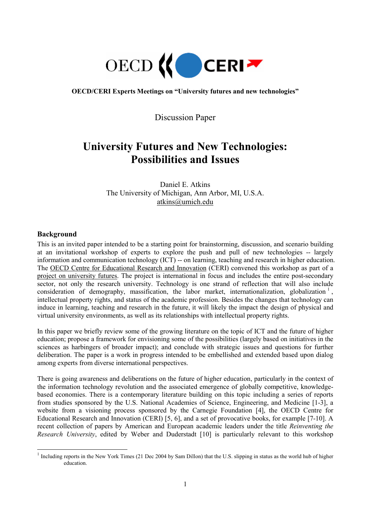

**OECD/CERI Experts Meetings on "University futures and new technologies"** 

Discussion Paper

# **University Futures and New Technologies: Possibilities and Issues**

Daniel E. Atkins The University of Michigan, Ann Arbor, MI, U.S.A. atkins@umich.edu

# **Background**

 $\overline{a}$ 

This is an invited paper intended to be a starting point for brainstorming, discussion, and scenario building at an invitational workshop of experts to explore the push and pull of new technologies -- largely information and communication technology (ICT) -- on learning, teaching and research in higher education. The OECD Centre for Educational Research and Innovation (CERI) convened this workshop as part of a project on university futures. The project is international in focus and includes the entire post-secondary sector, not only the research university. Technology is one strand of reflection that will also include consideration of demography, massification, the labor market, internationalization, globalization  $\frac{1}{1}$ , intellectual property rights, and status of the academic profession. Besides the changes that technology can induce in learning, teaching and research in the future, it will likely the impact the design of physical and virtual university environments, as well as its relationships with intellectual property rights.

In this paper we briefly review some of the growing literature on the topic of ICT and the future of higher education; propose a framework for envisioning some of the possibilities (largely based on initiatives in the sciences as harbingers of broader impact); and conclude with strategic issues and questions for further deliberation. The paper is a work in progress intended to be embellished and extended based upon dialog among experts from diverse international perspectives.

There is going awareness and deliberations on the future of higher education, particularly in the context of the information technology revolution and the associated emergence of globally competitive, knowledgebased economies. There is a contemporary literature building on this topic including a series of reports from studies sponsored by the U.S. National Academies of Science, Engineering, and Medicine [1-3], a website from a visioning process sponsored by the Carnegie Foundation [4], the OECD Centre for Educational Research and Innovation (CERI) [5, 6], and a set of provocative books, for example [7-10]. A recent collection of papers by American and European academic leaders under the title *Reinventing the Research University*, edited by Weber and Duderstadt [10] is particularly relevant to this workshop

 $1$  Including reports in the New York Times (21 Dec 2004 by Sam Dillon) that the U.S. slipping in status as the world hub of higher education.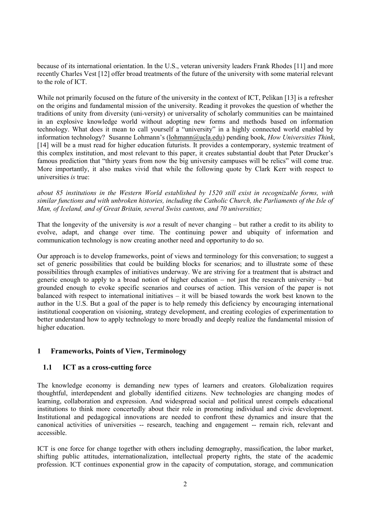because of its international orientation. In the U.S., veteran university leaders Frank Rhodes [11] and more recently Charles Vest [12] offer broad treatments of the future of the university with some material relevant to the role of ICT.

While not primarily focused on the future of the university in the context of ICT, Pelikan [13] is a refresher on the origins and fundamental mission of the university. Reading it provokes the question of whether the traditions of unity from diversity (uni-versity) or universality of scholarly communities can be maintained in an explosive knowledge world without adopting new forms and methods based on information technology. What does it mean to call yourself a "university" in a highly connected world enabled by information technology? Susanne Lohmann's (lohmann@ucla.edu) pending book, *How Universities Think*, [14] will be a must read for higher education futurists. It provides a contemporary, systemic treatment of this complex institution, and most relevant to this paper, it creates substantial doubt that Peter Drucker's famous prediction that "thirty years from now the big university campuses will be relics" will come true. More importantly, it also makes vivid that while the following quote by Clark Kerr with respect to universities *is* true:

*about 85 institutions in the Western World established by 1520 still exist in recognizable forms, with similar functions and with unbroken histories, including the Catholic Church, the Parliaments of the Isle of Man, of Iceland, and of Great Britain, several Swiss cantons, and 70 universities;* 

That the longevity of the university is *not* a result of never changing – but rather a credit to its ability to evolve, adapt, and change over time. The continuing power and ubiquity of information and communication technology is now creating another need and opportunity to do so.

Our approach is to develop frameworks, point of views and terminology for this conversation; to suggest a set of generic possibilities that could be building blocks for scenarios; and to illustrate some of these possibilities through examples of initiatives underway. We are striving for a treatment that is abstract and generic enough to apply to a broad notion of higher education – not just the research university – but grounded enough to evoke specific scenarios and courses of action. This version of the paper is not balanced with respect to international initiatives – it will be biased towards the work best known to the author in the U.S. But a goal of the paper is to help remedy this deficiency by encouraging international institutional cooperation on visioning, strategy development, and creating ecologies of experimentation to better understand how to apply technology to more broadly and deeply realize the fundamental mission of higher education.

# **1 Frameworks, Points of View, Terminology**

# **1.1 ICT as a cross-cutting force**

The knowledge economy is demanding new types of learners and creators. Globalization requires thoughtful, interdependent and globally identified citizens. New technologies are changing modes of learning, collaboration and expression. And widespread social and political unrest compels educational institutions to think more concertedly about their role in promoting individual and civic development. Institutional and pedagogical innovations are needed to confront these dynamics and insure that the canonical activities of universities -- research, teaching and engagement -- remain rich, relevant and accessible.

ICT is one force for change together with others including demography, massification, the labor market, shifting public attitudes, internationalization, intellectual property rights, the state of the academic profession. ICT continues exponential grow in the capacity of computation, storage, and communication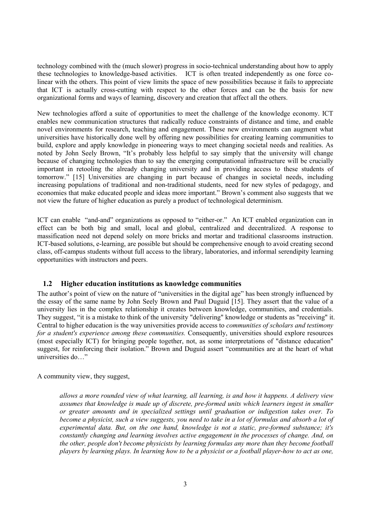technology combined with the (much slower) progress in socio-technical understanding about how to apply these technologies to knowledge-based activities. ICT is often treated independently as one force colinear with the others. This point of view limits the space of new possibilities because it fails to appreciate that ICT is actually cross-cutting with respect to the other forces and can be the basis for new organizational forms and ways of learning, discovery and creation that affect all the others.

New technologies afford a suite of opportunities to meet the challenge of the knowledge economy. ICT enables new communication structures that radically reduce constraints of distance and time, and enable novel environments for research, teaching and engagement. These new environments can augment what universities have historically done well by offering new possibilities for creating learning communities to build, explore and apply knowledge in pioneering ways to meet changing societal needs and realities. As noted by John Seely Brown, "It's probably less helpful to say simply that the university will change because of changing technologies than to say the emerging computational infrastructure will be crucially important in retooling the already changing university and in providing access to these students of tomorrow." [15] Universities are changing in part because of changes in societal needs, including increasing populations of traditional and non-traditional students, need for new styles of pedagogy, and economies that make educated people and ideas more important." Brown's comment also suggests that we not view the future of higher education as purely a product of technological determinism.

ICT can enable "and-and" organizations as opposed to "either-or." An ICT enabled organization can in effect can be both big and small, local and global, centralized and decentralized. A response to massification need not depend solely on more bricks and mortar and traditional classrooms instruction. ICT-based solutions, e-learning, are possible but should be comprehensive enough to avoid creating second class, off-campus students without full access to the library, laboratories, and informal serendipity learning opportunities with instructors and peers.

## **1.2 Higher education institutions as knowledge communities**

The author's point of view on the nature of "universities in the digital age" has been strongly influenced by the essay of the same name by John Seely Brown and Paul Duguid [15]. They assert that the value of a university lies in the complex relationship it creates between knowledge, communities, and credentials. They suggest, "it is a mistake to think of the university "delivering" knowledge or students as "receiving" it. Central to higher education is the way universities provide access to *communities of scholars and testimony for a student's experience among these communities.* Consequently, universities should explore resources (most especially ICT) for bringing people together, not, as some interpretations of "distance education" suggest, for reinforcing their isolation." Brown and Duguid assert "communities are at the heart of what universities do…"

A community view, they suggest,

*allows a more rounded view of what learning, all learning, is and how it happens. A delivery view assumes that knowledge is made up of discrete, pre-formed units which learners ingest in smaller or greater amounts and in specialized settings until graduation or indigestion takes over. To become a physicist, such a view suggests, you need to take in a lot of formulas and absorb a lot of experimental data. But, on the one hand, knowledge is not a static, pre-formed substance; it's constantly changing and learning involves active engagement in the processes of change. And, on the other, people don't become physicists by learning formulas any more than they become football players by learning plays. In learning how to be a physicist or a football player-how to act as one,*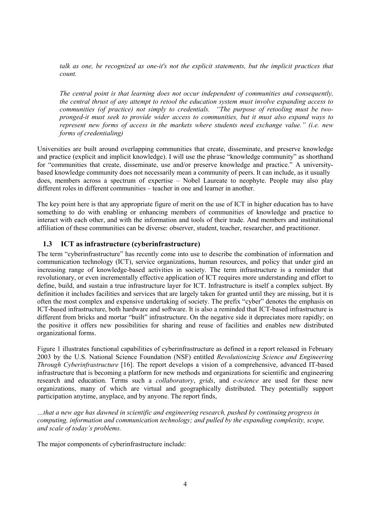*talk as one, be recognized as one-it's not the explicit statements, but the implicit practices that count.* 

*The central point is that learning does not occur independent of communities and consequently, the central thrust of any attempt to retool the education system must involve expanding access to communities (of practice) not simply to credentials. "The purpose of retooling must be twopronged-it must seek to provide wider access to communities, but it must also expand ways to represent new forms of access in the markets where students need exchange value." (i.e. new forms of credentialing)* 

Universities are built around overlapping communities that create, disseminate, and preserve knowledge and practice (explicit and implicit knowledge). I will use the phrase "knowledge community" as shorthand for "communities that create, disseminate, use and/or preserve knowledge and practice." A universitybased knowledge community does not necessarily mean a community of peers. It can include, as it usually does, members across a spectrum of expertise – Nobel Laureate to neophyte. People may also play different roles in different communities – teacher in one and learner in another.

The key point here is that any appropriate figure of merit on the use of ICT in higher education has to have something to do with enabling or enhancing members of communities of knowledge and practice to interact with each other, and with the information and tools of their trade. And members and institutional affiliation of these communities can be diverse: observer, student, teacher, researcher, and practitioner.

# **1.3 ICT as infrastructure (cyberinfrastructure)**

The term "cyberinfrastructure" has recently come into use to describe the combination of information and communication technology (ICT), service organizations, human resources, and policy that under gird an increasing range of knowledge-based activities in society. The term infrastructure is a reminder that revolutionary, or even incrementally effective application of ICT requires more understanding and effort to define, build, and sustain a true infrastructure layer for ICT. Infrastructure is itself a complex subject. By definition it includes facilities and services that are largely taken for granted until they are missing, but it is often the most complex and expensive undertaking of society. The prefix "cyber" denotes the emphasis on ICT-based infrastructure, both hardware and software. It is also a reminded that ICT-based infrastructure is different from bricks and mortar "built" infrastructure. On the negative side it depreciates more rapidly; on the positive it offers new possibilities for sharing and reuse of facilities and enables new distributed organizational forms.

Figure 1 illustrates functional capabilities of cyberinfrastructure as defined in a report released in February 2003 by the U.S. National Science Foundation (NSF) entitled *Revolutionizing Science and Engineering Through Cyberinfrastructure* [16]. The report develops a vision of a comprehensive, advanced IT-based infrastructure that is becoming a platform for new methods and organizations for scientific and engineering research and education. Terms such a *collaboratory*, *grids*, and *e-science* are used for these new organizations, many of which are virtual and geographically distributed. They potentially support participation anytime, anyplace, and by anyone. The report finds,

*…that a new age has dawned in scientific and engineering research, pushed by continuing progress in computing, information and communication technology; and pulled by the expanding complexity, scope, and scale of today's problems.* 

The major components of cyberinfrastructure include: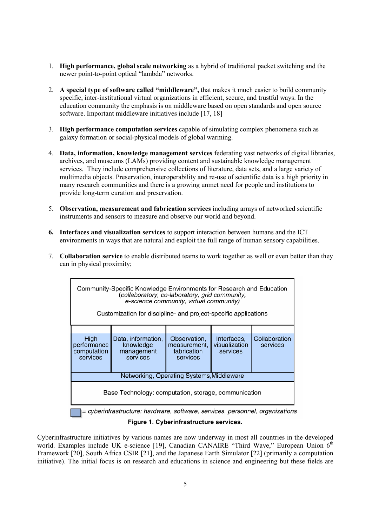- 1. **High performance, global scale networking** as a hybrid of traditional packet switching and the newer point-to-point optical "lambda" networks.
- 2. **A special type of software called "middleware",** that makes it much easier to build community specific, inter-institutional virtual organizations in efficient, secure, and trustful ways. In the education community the emphasis is on middleware based on open standards and open source software. Important middleware initiatives include [17, 18]
- 3. **High performance computation services** capable of simulating complex phenomena such as galaxy formation or social-physical models of global warming.
- 4. **Data, information, knowledge management services** federating vast networks of digital libraries, archives, and museums (LAMs) providing content and sustainable knowledge management services. They include comprehensive collections of literature, data sets, and a large variety of multimedia objects. Preservation, interoperability and re-use of scientific data is a high priority in many research communities and there is a growing unmet need for people and institutions to provide long-term curation and preservation.
- 5. **Observation, measurement and fabrication services** including arrays of networked scientific instruments and sensors to measure and observe our world and beyond.
- **6. Interfaces and visualization services** to support interaction between humans and the ICT environments in ways that are natural and exploit the full range of human sensory capabilities.
- 7. **Collaboration service** to enable distributed teams to work together as well or even better than they can in physical proximity;

| Community-Specific Knowledge Environments for Research and Education<br>(collaboratory, co-laboratory, grid community,<br>e-science community, virtual community)<br>Customization for discipline- and project-specific applications |                                                           |                                                         |                                          |                           |
|--------------------------------------------------------------------------------------------------------------------------------------------------------------------------------------------------------------------------------------|-----------------------------------------------------------|---------------------------------------------------------|------------------------------------------|---------------------------|
|                                                                                                                                                                                                                                      |                                                           |                                                         |                                          |                           |
| High<br>performance<br>computation<br>services                                                                                                                                                                                       | Data, information,<br>knowledge<br>management<br>services | Observation,<br>measurement.<br>fabrication<br>services | Interfaces,<br>visualization<br>services | Collaboration<br>services |
| Networking, Operating Systems, Middleware                                                                                                                                                                                            |                                                           |                                                         |                                          |                           |
| Base Technology: computation, storage, communication                                                                                                                                                                                 |                                                           |                                                         |                                          |                           |
| = cyberinfrastructure: hardware, software, services, personnel, organizations                                                                                                                                                        |                                                           |                                                         |                                          |                           |

**Figure 1. Cyberinfrastructure services.** 

Cyberinfrastructure initiatives by various names are now underway in most all countries in the developed world. Examples include UK e-science [19], Canadian CANAIRE "Third Wave," European Union 6<sup>th</sup> Framework [20], South Africa CSIR [21], and the Japanese Earth Simulator [22] (primarily a computation initiative). The initial focus is on research and educations in science and engineering but these fields are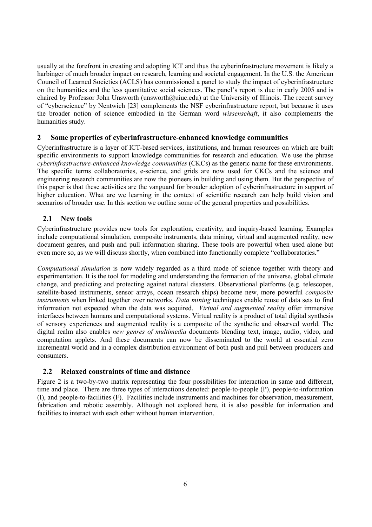usually at the forefront in creating and adopting ICT and thus the cyberinfrastructure movement is likely a harbinger of much broader impact on research, learning and societal engagement. In the U.S. the American Council of Learned Societies (ACLS) has commissioned a panel to study the impact of cyberinfrastructure on the humanities and the less quantitative social sciences. The panel's report is due in early 2005 and is chaired by Professor John Unsworth (unsworth *Quiuc.edu*) at the University of Illinois. The recent survey of "cyberscience" by Nentwich [23] complements the NSF cyberinfrastructure report, but because it uses the broader notion of science embodied in the German word *wissenschaft*, it also complements the humanities study.

# **2 Some properties of cyberinfrastructure-enhanced knowledge communities**

Cyberinfrastructure is a layer of ICT-based services, institutions, and human resources on which are built specific environments to support knowledge communities for research and education. We use the phrase *cyberinfrastructure-enhanced knowledge communities* (CKCs) as the generic name for these environments. The specific terms collaboratories, e-science, and grids are now used for CKCs and the science and engineering research communities are now the pioneers in building and using them. But the perspective of this paper is that these activities are the vanguard for broader adoption of cyberinfrastructure in support of higher education. What are we learning in the context of scientific research can help build vision and scenarios of broader use. In this section we outline some of the general properties and possibilities.

# **2.1 New tools**

Cyberinfrastructure provides new tools for exploration, creativity, and inquiry-based learning. Examples include computational simulation, composite instruments, data mining, virtual and augmented reality, new document genres, and push and pull information sharing. These tools are powerful when used alone but even more so, as we will discuss shortly, when combined into functionally complete "collaboratories."

*Computational simulation* is now widely regarded as a third mode of science together with theory and experimentation. It is the tool for modeling and understanding the formation of the universe, global climate change, and predicting and protecting against natural disasters. Observational platforms (e.g. telescopes, satellite-based instruments, sensor arrays, ocean research ships) become new, more powerful *composite instruments* when linked together over networks. *Data mining* techniques enable reuse of data sets to find information not expected when the data was acquired. *Virtual and augmented reality* offer immersive interfaces between humans and computational systems. Virtual reality is a product of total digital synthesis of sensory experiences and augmented reality is a composite of the synthetic and observed world. The digital realm also enables *new genres of multimedia* documents blending text, image, audio, video, and computation applets. And these documents can now be disseminated to the world at essential zero incremental world and in a complex distribution environment of both push and pull between producers and consumers.

## **2.2 Relaxed constraints of time and distance**

Figure 2 is a two-by-two matrix representing the four possibilities for interaction in same and different, time and place. There are three types of interactions denoted: people-to-people (P), people-to-information (I), and people-to-facilities (F). Facilities include instruments and machines for observation, measurement, fabrication and robotic assembly. Although not explored here, it is also possible for information and facilities to interact with each other without human intervention.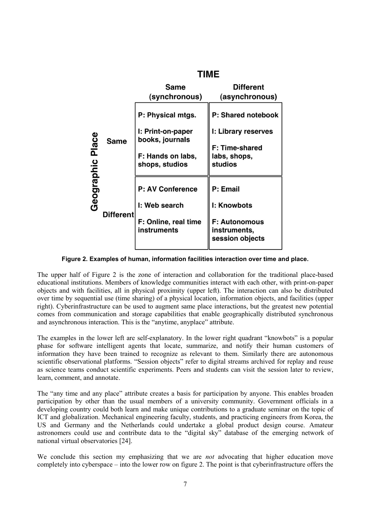

**Figure 2. Examples of human, information facilities interaction over time and place.** 

The upper half of Figure 2 is the zone of interaction and collaboration for the traditional place-based educational institutions. Members of knowledge communities interact with each other, with print-on-paper objects and with facilities, all in physical proximity (upper left). The interaction can also be distributed over time by sequential use (time sharing) of a physical location, information objects, and facilities (upper right). Cyberinfrastructure can be used to augment same place interactions, but the greatest new potential comes from communication and storage capabilities that enable geographically distributed synchronous and asynchronous interaction. This is the "anytime, anyplace" attribute.

The examples in the lower left are self-explanatory. In the lower right quadrant "knowbots" is a popular phase for software intelligent agents that locate, summarize, and notify their human customers of information they have been trained to recognize as relevant to them. Similarly there are autonomous scientific observational platforms. "Session objects" refer to digital streams archived for replay and reuse as science teams conduct scientific experiments. Peers and students can visit the session later to review, learn, comment, and annotate.

The "any time and any place" attribute creates a basis for participation by anyone. This enables broaden participation by other than the usual members of a university community. Government officials in a developing country could both learn and make unique contributions to a graduate seminar on the topic of ICT and globalization. Mechanical engineering faculty, students, and practicing engineers from Korea, the US and Germany and the Netherlands could undertake a global product design course. Amateur astronomers could use and contribute data to the "digital sky" database of the emerging network of national virtual observatories [24].

We conclude this section my emphasizing that we are *not* advocating that higher education move completely into cyberspace – into the lower row on figure 2. The point is that cyberinfrastructure offers the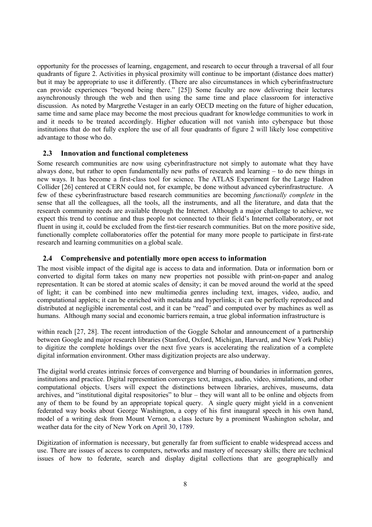opportunity for the processes of learning, engagement, and research to occur through a traversal of all four quadrants of figure 2. Activities in physical proximity will continue to be important (distance does matter) but it may be appropriate to use it differently. (There are also circumstances in which cyberinfrastructure can provide experiences "beyond being there." [25]) Some faculty are now delivering their lectures asynchronously through the web and then using the same time and place classroom for interactive discussion. As noted by Margrethe Vestager in an early OECD meeting on the future of higher education, same time and same place may become the most precious quadrant for knowledge communities to work in and it needs to be treated accordingly. Higher education will not vanish into cyberspace but those institutions that do not fully explore the use of all four quadrants of figure 2 will likely lose competitive advantage to those who do.

#### **2.3 Innovation and functional completeness**

Some research communities are now using cyberinfrastructure not simply to automate what they have always done, but rather to open fundamentally new paths of research and learning – to do new things in new ways. It has become a first-class tool for science. The ATLAS Experiment for the Large Hadron Collider [26] centered at CERN could not, for example, be done without advanced cyberinfrastructure. A few of these cyberinfrastructure based research communities are becoming *functionally complete* in the sense that all the colleagues, all the tools, all the instruments, and all the literature, and data that the research community needs are available through the Internet. Although a major challenge to achieve, we expect this trend to continue and thus people not connected to their field's Internet collaboratory, or not fluent in using it, could be excluded from the first-tier research communities. But on the more positive side, functionally complete collaboratories offer the potential for many more people to participate in first-rate research and learning communities on a global scale.

### **2.4 Comprehensive and potentially more open access to information**

The most visible impact of the digital age is access to data and information. Data or information born or converted to digital form takes on many new properties not possible with print-on-paper and analog representation. It can be stored at atomic scales of density; it can be moved around the world at the speed of light; it can be combined into new multimedia genres including text, images, video, audio, and computational applets; it can be enriched with metadata and hyperlinks; it can be perfectly reproduced and distributed at negligible incremental cost, and it can be "read" and computed over by machines as well as humans. Although many social and economic barriers remain, a true global information infrastructure is

within reach [27, 28]. The recent introduction of the Goggle Scholar and announcement of a partnership between Google and major research libraries (Stanford, Oxford, Michigan, Harvard, and New York Public) to digitize the complete holdings over the next five years is accelerating the realization of a complete digital information environment. Other mass digitization projects are also underway.

The digital world creates intrinsic forces of convergence and blurring of boundaries in information genres, institutions and practice. Digital representation converges text, images, audio, video, simulations, and other computational objects. Users will expect the distinctions between libraries, archives, museums, data archives, and "institutional digital respositories" to blur – they will want all to be online and objects from any of them to be found by an appropriate topical query. A single query might yield in a convenient federated way books about George Washington, a copy of his first inaugural speech in his own hand, model of a writing desk from Mount Vernon, a class lecture by a prominent Washington scholar, and weather data for the city of New York on April 30, 1789.

Digitization of information is necessary, but generally far from sufficient to enable widespread access and use. There are issues of access to computers, networks and mastery of necessary skills; there are technical issues of how to federate, search and display digital collections that are geographically and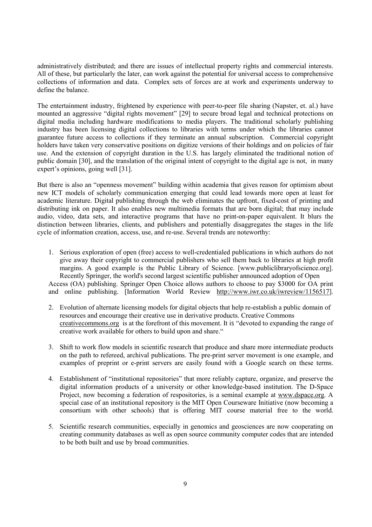administratively distributed; and there are issues of intellectual property rights and commercial interests. All of these, but particularly the later, can work against the potential for universal access to comprehensive collections of information and data. Complex sets of forces are at work and experiments underway to define the balance.

The entertainment industry, frightened by experience with peer-to-peer file sharing (Napster, et. al.) have mounted an aggressive "digital rights movement" [29] to secure broad legal and technical protections on digital media including hardware modifications to media players. The traditional scholarly publishing industry has been licensing digital collections to libraries with terms under which the libraries cannot guarantee future access to collections if they terminate an annual subscription. Commercial copyright holders have taken very conservative positions on digitize versions of their holdings and on policies of fair use. And the extension of copyright duration in the U.S. has largely eliminated the traditional notion of public domain [30], and the translation of the original intent of copyright to the digital age is not, in many expert's opinions, going well [31].

But there is also an "openness movement" building within academia that gives reason for optimism about new ICT models of scholarly communication emerging that could lead towards more open at least for academic literature. Digital publishing through the web eliminates the upfront, fixed-cost of printing and distributing ink on paper. It also enables new multimedia formats that are born digital; that may include audio, video, data sets, and interactive programs that have no print-on-paper equivalent. It blurs the distinction between libraries, clients, and publishers and potentially disaggregates the stages in the life cycle of information creation, access, use, and re-use. Several trends are noteworthy:

- 1. Serious exploration of open (free) access to well-credentialed publications in which authors do not give away their copyright to commercial publishers who sell them back to libraries at high profit margins. A good example is the Public Library of Science. [www.publiclibraryofscience.org]. Recently Springer, the world's second largest scientific publisher announced adoption of Open Access (OA) publishing. Springer Open Choice allows authors to choose to pay \$3000 for OA print and online publishing. [Information World Review http://www.iwr.co.uk/iwreview/1156517].
- 2. Evolution of alternate licensing models for digital objects that help re-establish a public domain of resources and encourage their creative use in derivative products. Creative Commons creativecommons.org is at the forefront of this movement. It is "devoted to expanding the range of creative work available for others to build upon and share."
- 3. Shift to work flow models in scientific research that produce and share more intermediate products on the path to refereed, archival publications. The pre-print server movement is one example, and examples of preprint or e-print servers are easily found with a Google search on these terms.
- 4. Establishment of "institutional repositories" that more reliably capture, organize, and preserve the digital information products of a university or other knowledge-based institution. The D-Space Project, now becoming a federation of respositories, is a seminal example at www.dspace.org. A special case of an institutional repository is the MIT Open Courseware Initiative (now becoming a consortium with other schools) that is offering MIT course material free to the world.
- 5. Scientific research communities, especially in genomics and geosciences are now cooperating on creating community databases as well as open source community computer codes that are intended to be both built and use by broad communities.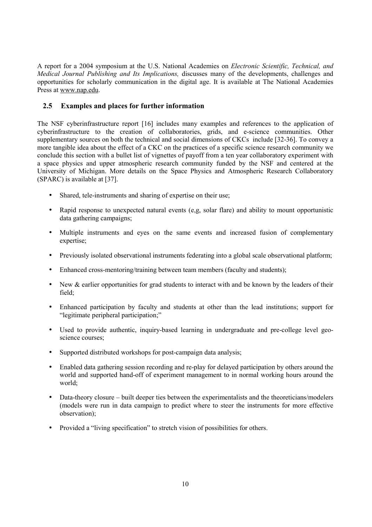A report for a 2004 symposium at the U.S. National Academies on *Electronic Scientific, Technical, and Medical Journal Publishing and Its Implications,* discusses many of the developments, challenges and opportunities for scholarly communication in the digital age. It is available at The National Academies Press at www.nap.edu.

# **2.5 Examples and places for further information**

The NSF cyberinfrastructure report [16] includes many examples and references to the application of cyberinfrastructure to the creation of collaboratories, grids, and e-science communities. Other supplementary sources on both the technical and social dimensions of CKCs include [32-36]. To convey a more tangible idea about the effect of a CKC on the practices of a specific science research community we conclude this section with a bullet list of vignettes of payoff from a ten year collaboratory experiment with a space physics and upper atmospheric research community funded by the NSF and centered at the University of Michigan. More details on the Space Physics and Atmospheric Research Collaboratory (SPARC) is available at [37].

- Shared, tele-instruments and sharing of expertise on their use:
- Rapid response to unexpected natural events (e.g. solar flare) and ability to mount opportunistic data gathering campaigns;
- Multiple instruments and eyes on the same events and increased fusion of complementary expertise;
- Previously isolated observational instruments federating into a global scale observational platform;
- Enhanced cross-mentoring/training between team members (faculty and students);
- New & earlier opportunities for grad students to interact with and be known by the leaders of their field;
- Enhanced participation by faculty and students at other than the lead institutions; support for "legitimate peripheral participation;"
- Used to provide authentic, inquiry-based learning in undergraduate and pre-college level geoscience courses;
- Supported distributed workshops for post-campaign data analysis;
- Enabled data gathering session recording and re-play for delayed participation by others around the world and supported hand-off of experiment management to in normal working hours around the world;
- Data-theory closure built deeper ties between the experimentalists and the theoreticians/modelers (models were run in data campaign to predict where to steer the instruments for more effective observation);
- Provided a "living specification" to stretch vision of possibilities for others.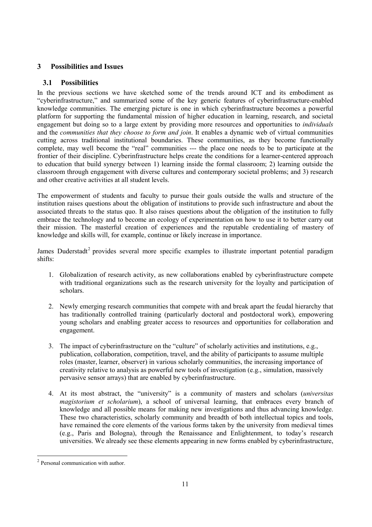# **3 Possibilities and Issues**

# **3.1 Possibilities**

In the previous sections we have sketched some of the trends around ICT and its embodiment as "cyberinfrastructure," and summarized some of the key generic features of cyberinfrastructure-enabled knowledge communities. The emerging picture is one in which cyberinfrastructure becomes a powerful platform for supporting the fundamental mission of higher education in learning, research, and societal engagement but doing so to a large extent by providing more resources and opportunities to *individuals* and the *communities that they choose to form and join*. It enables a dynamic web of virtual communities cutting across traditional institutional boundaries. These communities, as they become functionally complete, may well become the "real" communities --- the place one needs to be to participate at the frontier of their discipline. Cyberinfrastructure helps create the conditions for a learner-centered approach to education that build synergy between 1) learning inside the formal classroom; 2) learning outside the classroom through engagement with diverse cultures and contemporary societal problems; and 3) research and other creative activities at all student levels.

The empowerment of students and faculty to pursue their goals outside the walls and structure of the institution raises questions about the obligation of institutions to provide such infrastructure and about the associated threats to the status quo. It also raises questions about the obligation of the institution to fully embrace the technology and to become an ecology of experimentation on how to use it to better carry out their mission. The masterful creation of experiences and the reputable credentialing of mastery of knowledge and skills will, for example, continue or likely increase in importance.

James Duderstadt<sup>2</sup> provides several more specific examples to illustrate important potential paradigm shifts:

- 1. Globalization of research activity, as new collaborations enabled by cyberinfrastructure compete with traditional organizations such as the research university for the loyalty and participation of scholars.
- 2. Newly emerging research communities that compete with and break apart the feudal hierarchy that has traditionally controlled training (particularly doctoral and postdoctoral work), empowering young scholars and enabling greater access to resources and opportunities for collaboration and engagement.
- 3. The impact of cyberinfrastructure on the "culture" of scholarly activities and institutions, e.g., publication, collaboration, competition, travel, and the ability of participants to assume multiple roles (master, learner, observer) in various scholarly communities, the increasing importance of creativity relative to analysis as powerful new tools of investigation (e.g., simulation, massively pervasive sensor arrays) that are enabled by cyberinfrastructure.
- 4. At its most abstract, the "university" is a community of masters and scholars (*universitas magistorium et scholarium*), a school of universal learning, that embraces every branch of knowledge and all possible means for making new investigations and thus advancing knowledge. These two characteristics, scholarly community and breadth of both intellectual topics and tools, have remained the core elements of the various forms taken by the university from medieval times (e.g., Paris and Bologna), through the Renaissance and Enlightenment, to today's research universities. We already see these elements appearing in new forms enabled by cyberinfrastructure,

 $\overline{a}$ 

<sup>&</sup>lt;sup>2</sup> Personal communication with author.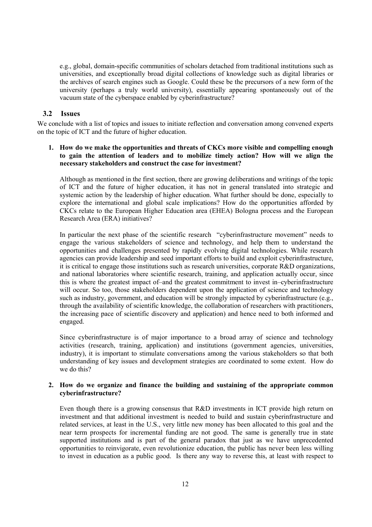e.g., global, domain-specific communities of scholars detached from traditional institutions such as universities, and exceptionally broad digital collections of knowledge such as digital libraries or the archives of search engines such as Google. Could these be the precursors of a new form of the university (perhaps a truly world university), essentially appearing spontaneously out of the vacuum state of the cyberspace enabled by cyberinfrastructure?

## **3.2 Issues**

We conclude with a list of topics and issues to initiate reflection and conversation among convened experts on the topic of ICT and the future of higher education.

# **1. How do we make the opportunities and threats of CKCs more visible and compelling enough to gain the attention of leaders and to mobilize timely action? How will we align the necessary stakeholders and construct the case for investment?**

Although as mentioned in the first section, there are growing deliberations and writings of the topic of ICT and the future of higher education, it has not in general translated into strategic and systemic action by the leadership of higher education. What further should be done, especially to explore the international and global scale implications? How do the opportunities afforded by CKCs relate to the European Higher Education area (EHEA) Bologna process and the European Research Area (ERA) initiatives?

In particular the next phase of the scientific research "cyberinfrastructure movement" needs to engage the various stakeholders of science and technology, and help them to understand the opportunities and challenges presented by rapidly evolving digital technologies. While research agencies can provide leadership and seed important efforts to build and exploit cyberinfrastructure, it is critical to engage those institutions such as research universities, corporate R&D organizations, and national laboratories where scientific research, training, and application actually occur, since this is where the greatest impact of–and the greatest commitment to invest in–cyberinfrastructure will occur. So too, those stakeholders dependent upon the application of science and technology such as industry, government, and education will be strongly impacted by cyberinfrastructure (e.g., through the availability of scientific knowledge, the collaboration of researchers with practitioners, the increasing pace of scientific discovery and application) and hence need to both informed and engaged.

Since cyberinfrastructure is of major importance to a broad array of science and technology activities (research, training, application) and institutions (government agencies, universities, industry), it is important to stimulate conversations among the various stakeholders so that both understanding of key issues and development strategies are coordinated to some extent. How do we do this?

#### **2. How do we organize and finance the building and sustaining of the appropriate common cyberinfrastructure?**

Even though there is a growing consensus that R&D investments in ICT provide high return on investment and that additional investment is needed to build and sustain cyberinfrastructure and related services, at least in the U.S., very little new money has been allocated to this goal and the near term prospects for incremental funding are not good. The same is generally true in state supported institutions and is part of the general paradox that just as we have unprecedented opportunities to reinvigorate, even revolutionize education, the public has never been less willing to invest in education as a public good. Is there any way to reverse this, at least with respect to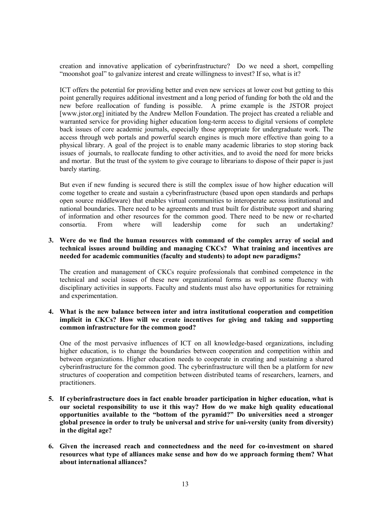creation and innovative application of cyberinfrastructure? Do we need a short, compelling "moonshot goal" to galvanize interest and create willingness to invest? If so, what is it?

ICT offers the potential for providing better and even new services at lower cost but getting to this point generally requires additional investment and a long period of funding for both the old and the new before reallocation of funding is possible. A prime example is the JSTOR project [www.jstor.org] initiated by the Andrew Mellon Foundation. The project has created a reliable and warranted service for providing higher education long-term access to digital versions of complete back issues of core academic journals, especially those appropriate for undergraduate work. The access through web portals and powerful search engines is much more effective than going to a physical library. A goal of the project is to enable many academic libraries to stop storing back issues of journals, to reallocate funding to other activities, and to avoid the need for more bricks and mortar. But the trust of the system to give courage to librarians to dispose of their paper is just barely starting.

But even if new funding is secured there is still the complex issue of how higher education will come together to create and sustain a cyberinfrastructure (based upon open standards and perhaps open source middleware) that enables virtual communities to interoperate across institutional and national boundaries. There need to be agreements and trust built for distribute support and sharing of information and other resources for the common good. There need to be new or re-charted consortia. From where will leadership come for such an undertaking?

## **3. Were do we find the human resources with command of the complex array of social and technical issues around building and managing CKCs? What training and incentives are needed for academic communities (faculty and students) to adopt new paradigms?**

The creation and management of CKCs require professionals that combined competence in the technical and social issues of these new organizational forms as well as some fluency with disciplinary activities in supports. Faculty and students must also have opportunities for retraining and experimentation.

## **4. What is the new balance between inter and intra institutional cooperation and competition implicit in CKCs? How will we create incentives for giving and taking and supporting common infrastructure for the common good?**

One of the most pervasive influences of ICT on all knowledge-based organizations, including higher education, is to change the boundaries between cooperation and competition within and between organizations. Higher education needs to cooperate in creating and sustaining a shared cyberinfrastructure for the common good. The cyberinfrastructure will then be a platform for new structures of cooperation and competition between distributed teams of researchers, learners, and practitioners.

- **5. If cyberinfrastructure does in fact enable broader participation in higher education, what is our societal responsibility to use it this way? How do we make high quality educational opportunities available to the "bottom of the pyramid?" Do universities need a stronger global presence in order to truly be universal and strive for uni-versity (unity from diversity) in the digital age?**
- **6. Given the increased reach and connectedness and the need for co-investment on shared resources what type of alliances make sense and how do we approach forming them? What about international alliances?**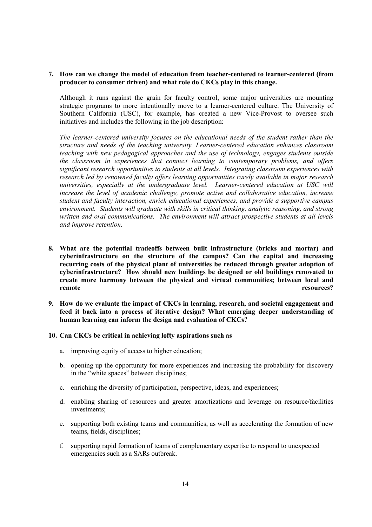**7. How can we change the model of education from teacher-centered to learner-centered (from producer to consumer driven) and what role do CKCs play in this change.** 

Although it runs against the grain for faculty control, some major universities are mounting strategic programs to more intentionally move to a learner-centered culture. The University of Southern California (USC), for example, has created a new Vice-Provost to oversee such initiatives and includes the following in the job description:

*The learner-centered university focuses on the educational needs of the student rather than the structure and needs of the teaching university. Learner-centered education enhances classroom teaching with new pedagogical approaches and the use of technology, engages students outside the classroom in experiences that connect learning to contemporary problems, and offers significant research opportunities to students at all levels. Integrating classroom experiences with research led by renowned faculty offers learning opportunities rarely available in major research universities, especially at the undergraduate level. Learner-centered education at USC will increase the level of academic challenge, promote active and collaborative education, increase student and faculty interaction, enrich educational experiences, and provide a supportive campus environment. Students will graduate with skills in critical thinking, analytic reasoning, and strong written and oral communications. The environment will attract prospective students at all levels and improve retention.* 

- **8. What are the potential tradeoffs between built infrastructure (bricks and mortar) and cyberinfrastructure on the structure of the campus? Can the capital and increasing recurring costs of the physical plant of universities be reduced through greater adoption of cyberinfrastructure? How should new buildings be designed or old buildings renovated to create more harmony between the physical and virtual communities; between local and remote resources?**
- **9. How do we evaluate the impact of CKCs in learning, research, and societal engagement and feed it back into a process of iterative design? What emerging deeper understanding of human learning can inform the design and evaluation of CKCs?**

#### **10. Can CKCs be critical in achieving lofty aspirations such as**

- a. improving equity of access to higher education;
- b. opening up the opportunity for more experiences and increasing the probability for discovery in the "white spaces" between disciplines;
- c. enriching the diversity of participation, perspective, ideas, and experiences;
- d. enabling sharing of resources and greater amortizations and leverage on resource/facilities investments;
- e. supporting both existing teams and communities, as well as accelerating the formation of new teams, fields, disciplines;
- f. supporting rapid formation of teams of complementary expertise to respond to unexpected emergencies such as a SARs outbreak.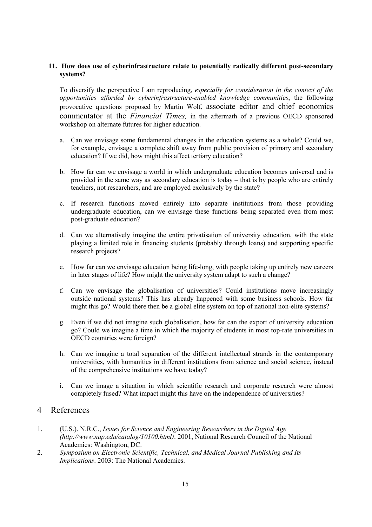# **11. How does use of cyberinfrastructure relate to potentially radically different post-secondary systems?**

To diversify the perspective I am reproducing, *especially for consideration in the context of the opportunities afforded by cyberinfrastructure-enabled knowledge communities*, the following provocative questions proposed by Martin Wolf, associate editor and chief economics commentator at the *Financial Times,* in the aftermath of a previous OECD sponsored workshop on alternate futures for higher education.

- a. Can we envisage some fundamental changes in the education systems as a whole? Could we, for example, envisage a complete shift away from public provision of primary and secondary education? If we did, how might this affect tertiary education?
- b. How far can we envisage a world in which undergraduate education becomes universal and is provided in the same way as secondary education is today – that is by people who are entirely teachers, not researchers, and are employed exclusively by the state?
- c. If research functions moved entirely into separate institutions from those providing undergraduate education, can we envisage these functions being separated even from most post-graduate education?
- d. Can we alternatively imagine the entire privatisation of university education, with the state playing a limited role in financing students (probably through loans) and supporting specific research projects?
- e. How far can we envisage education being life-long, with people taking up entirely new careers in later stages of life? How might the university system adapt to such a change?
- f. Can we envisage the globalisation of universities? Could institutions move increasingly outside national systems? This has already happened with some business schools. How far might this go? Would there then be a global elite system on top of national non-elite systems?
- g. Even if we did not imagine such globalisation, how far can the export of university education go? Could we imagine a time in which the majority of students in most top-rate universities in OECD countries were foreign?
- h. Can we imagine a total separation of the different intellectual strands in the contemporary universities, with humanities in different institutions from science and social science, instead of the comprehensive institutions we have today?
- i. Can we image a situation in which scientific research and corporate research were almost completely fused? What impact might this have on the independence of universities?

# 4 References

- 1. (U.S.). N.R.C., *Issues for Science and Engineering Researchers in the Digital Age (http://www.nap.edu/catalog/10100.html)*. 2001, National Research Council of the National Academies: Washington, DC.
- 2. *Symposium on Electronic Scientific, Technical, and Medical Journal Publishing and Its Implications*. 2003: The National Academies.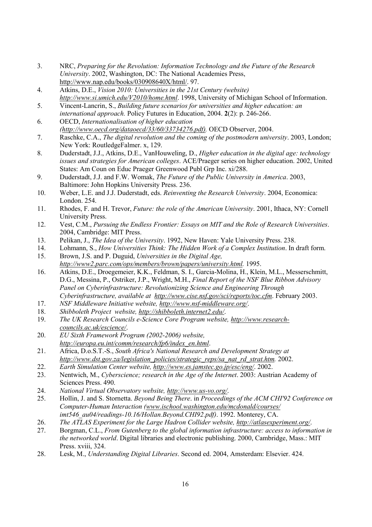- 3. NRC, *Preparing for the Revolution: Information Technology and the Future of the Research University*. 2002, Washington, DC: The National Academies Press, http://www.nap.edu/books/030908640X/html/. 97.
- 4. Atkins, D.E., *Vision 2010: Universities in the 21st Century (website) http://www.si.umich.edu/V2010/home.html*. 1998, University of Michigan School of Information.
- 5. Vincent-Lancrin, S., *Building future scenarios for universities and higher education: an international approach.* Policy Futures in Education, 2004. **2**(2): p. 246-266.
- 6. OECD, *Internationalisation of higher education (http://www.oecd.org/dataoecd/33/60/33734276.pdf).* OECD Observer, 2004.
- 7. Raschke, C.A., *The digital revolution and the coming of the postmodern university*. 2003, London; New York: RoutledgeFalmer. x, 129.
- 8. Duderstadt, J.J., Atkins, D.E., VanHouweling, D., *Higher education in the digital age: technology issues and strategies for American colleges*. ACE/Praeger series on higher education. 2002, United States: Am Coun on Educ Praeger Greenwood Publ Grp Inc. xi/288.
- 9. Duderstadt, J.J. and F.W. Womak, *The Future of the Public University in America*. 2003, Baltimore: John Hopkins University Press. 236.
- 10. Weber, L.E. and J.J. Duderstadt, eds. *Reinventing the Research University*. 2004, Economica: London. 254.
- 11. Rhodes, F. and H. Trevor, *Future: the role of the American University*. 2001, Ithaca, NY: Cornell University Press.
- 12. Vest, C.M., *Pursuing the Endless Frontier: Essays on MIT and the Role of Research Universities*. 2004, Cambridge: MIT Press.
- 13. Pelikan, J., *The Idea of the University*. 1992, New Haven: Yale University Press. 238.
- 14. Lohmann, S., *How Universities Think: The Hidden Work of a Complex Institution*. In draft form.
- 15. Brown, J.S. and P. Duguid, *Universities in the Digital Age, http://www2.parc.com/ops/members/brown/papers/university.html.* 1995.
- 16. Atkins, D.E., Droegemeier, K.K., Feldman, S. I., Garcia-Molina, H., Klein, M.L., Messerschmitt, D.G., Messina, P., Ostriker, J.P., Wright, M.H., *Final Report of the NSF Blue Ribbon Advisory Panel on Cyberinfrastructure: Revolutionizing Science and Engineering Through Cyberinfrastructure, available at http://www.cise.nsf.gov/sci/reports/toc.cfm*. February 2003.
- 17. *NSF Middleware Initiative website, http://www.nsf-middleware.org/*.
- 18. *Shibboleth Project website, http://shibboleth.internet2.edu/*.
- 19. *The UK Research Councils e-Science Core Program website, http://www.researchcouncils.ac.uk/escience/*.
- 20. *EU Sixth Framework Program (2002-2006) website, http://europa.eu.int/comm/research/fp6/index\_en.html*.
- 21. Africa, D.o.S.T.-S., *South Africa's National Research and Development Strategy at http://www.dst.gov.za/legislation\_policies/strategic\_reps/sa\_nat\_rd\_strat.htm.* 2002.
- 22. *Earth Simulation Center website, http://www.es.jamstec.go.jp/esc/eng/*. 2002.
- 23. Nentwich, M., *Cyberscience; research in the Age of the Internet*. 2003: Austrian Academy of Sciences Press. 490.
- 24. *National Virtual Observatory website, http://www.us-vo.org/*.
- 25. Hollin, J. and S. Stornetta. *Beyond Being There*. in *Proceedings of the ACM CHI'92 Conference on Computer-Human Interaction (www.ischool.washington.edu/mcdonald/courses/ imt546\_au04/readings-10.16/Hollan.Beyond.CHI92.pdf)*. 1992. Monterey, CA.
- 26. *The ATLAS Experiment for the Large Hadron Collider website, http://atlasexperiment.org/*.
- 27. Borgman, C.L., *From Gutenberg to the global information infrastructure: access to information in the networked world*. Digital libraries and electronic publishing. 2000, Cambridge, Mass.: MIT Press. xviii, 324.
- 28. Lesk, M., *Understanding Digital Libraries*. Second ed. 2004, Amsterdam: Elsevier. 424.